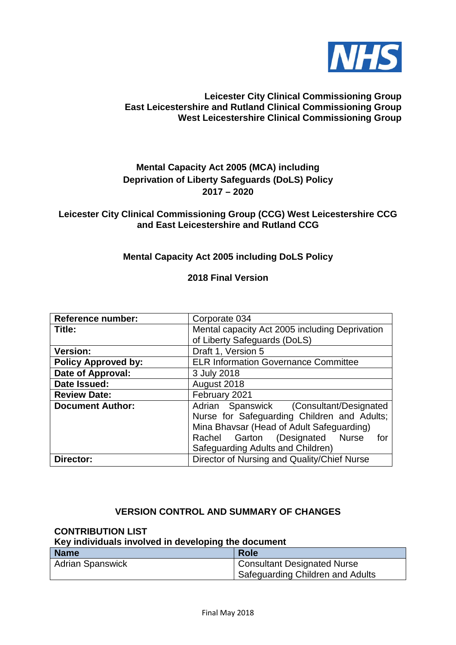

#### **Leicester City Clinical Commissioning Group East Leicestershire and Rutland Clinical Commissioning Group West Leicestershire Clinical Commissioning Group**

## **Mental Capacity Act 2005 (MCA) including Deprivation of Liberty Safeguards (DoLS) Policy 2017 – 2020**

#### **Leicester City Clinical Commissioning Group (CCG) West Leicestershire CCG and East Leicestershire and Rutland CCG**

## **Mental Capacity Act 2005 including DoLS Policy**

**2018 Final Version**

| <b>Reference number:</b>   | Corporate 034                                                                                                                                                                                                      |  |  |
|----------------------------|--------------------------------------------------------------------------------------------------------------------------------------------------------------------------------------------------------------------|--|--|
| Title:                     | Mental capacity Act 2005 including Deprivation                                                                                                                                                                     |  |  |
|                            | of Liberty Safeguards (DoLS)                                                                                                                                                                                       |  |  |
| <b>Version:</b>            | Draft 1, Version 5                                                                                                                                                                                                 |  |  |
| <b>Policy Approved by:</b> | <b>ELR Information Governance Committee</b>                                                                                                                                                                        |  |  |
| Date of Approval:          | 3 July 2018                                                                                                                                                                                                        |  |  |
| Date Issued:               | August 2018                                                                                                                                                                                                        |  |  |
| <b>Review Date:</b>        | February 2021                                                                                                                                                                                                      |  |  |
| <b>Document Author:</b>    | Adrian Spanswick (Consultant/Designated<br>Nurse for Safeguarding Children and Adults;<br>Mina Bhavsar (Head of Adult Safeguarding)<br>Rachel Garton (Designated Nurse<br>for<br>Safeguarding Adults and Children) |  |  |
| Director:                  | Director of Nursing and Quality/Chief Nurse                                                                                                                                                                        |  |  |

### **VERSION CONTROL AND SUMMARY OF CHANGES**

#### **CONTRIBUTION LIST**

## **Key individuals involved in developing the document**

| <b>Name</b>             | <b>Role</b>                        |  |
|-------------------------|------------------------------------|--|
| <b>Adrian Spanswick</b> | <b>Consultant Designated Nurse</b> |  |
|                         | Safeguarding Children and Adults   |  |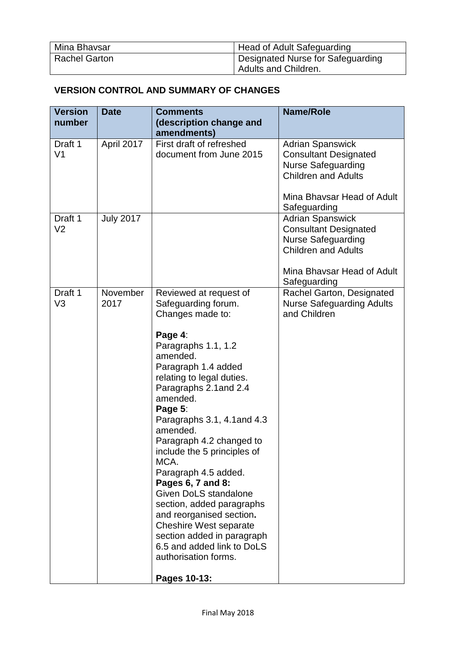| Mina Bhavsar         | Head of Adult Safeguarding        |  |
|----------------------|-----------------------------------|--|
| <b>Rachel Garton</b> | Designated Nurse for Safeguarding |  |
|                      | <sup>1</sup> Adults and Children. |  |

# **VERSION CONTROL AND SUMMARY OF CHANGES**

| <b>Version</b>            | <b>Date</b>      | <b>Comments</b>                                                                                                                                                                                                                                                                                                                                                                                                                                                                                                                                                                        | <b>Name/Role</b>                                                                                                                                 |
|---------------------------|------------------|----------------------------------------------------------------------------------------------------------------------------------------------------------------------------------------------------------------------------------------------------------------------------------------------------------------------------------------------------------------------------------------------------------------------------------------------------------------------------------------------------------------------------------------------------------------------------------------|--------------------------------------------------------------------------------------------------------------------------------------------------|
| number                    |                  | (description change and<br>amendments)                                                                                                                                                                                                                                                                                                                                                                                                                                                                                                                                                 |                                                                                                                                                  |
| Draft 1<br>V <sub>1</sub> | April 2017       | First draft of refreshed<br>document from June 2015                                                                                                                                                                                                                                                                                                                                                                                                                                                                                                                                    | <b>Adrian Spanswick</b><br><b>Consultant Designated</b><br><b>Nurse Safeguarding</b><br><b>Children and Adults</b><br>Mina Bhavsar Head of Adult |
| Draft 1                   | <b>July 2017</b> |                                                                                                                                                                                                                                                                                                                                                                                                                                                                                                                                                                                        | Safeguarding<br><b>Adrian Spanswick</b>                                                                                                          |
| V <sub>2</sub>            |                  |                                                                                                                                                                                                                                                                                                                                                                                                                                                                                                                                                                                        | <b>Consultant Designated</b><br><b>Nurse Safeguarding</b><br><b>Children and Adults</b><br>Mina Bhavsar Head of Adult                            |
| Draft 1<br>V <sub>3</sub> | November<br>2017 | Reviewed at request of<br>Safeguarding forum.<br>Changes made to:<br>Page 4:<br>Paragraphs 1.1, 1.2<br>amended.<br>Paragraph 1.4 added<br>relating to legal duties.<br>Paragraphs 2.1 and 2.4<br>amended.<br>Page 5:<br>Paragraphs 3.1, 4.1 and 4.3<br>amended.<br>Paragraph 4.2 changed to<br>include the 5 principles of<br>MCA.<br>Paragraph 4.5 added.<br>Pages 6, 7 and 8:<br>Given DoLS standalone<br>section, added paragraphs<br>and reorganised section.<br><b>Cheshire West separate</b><br>section added in paragraph<br>6.5 and added link to DoLS<br>authorisation forms. | Safeguarding<br>Rachel Garton, Designated<br><b>Nurse Safeguarding Adults</b><br>and Children                                                    |
|                           |                  | Pages 10-13:                                                                                                                                                                                                                                                                                                                                                                                                                                                                                                                                                                           |                                                                                                                                                  |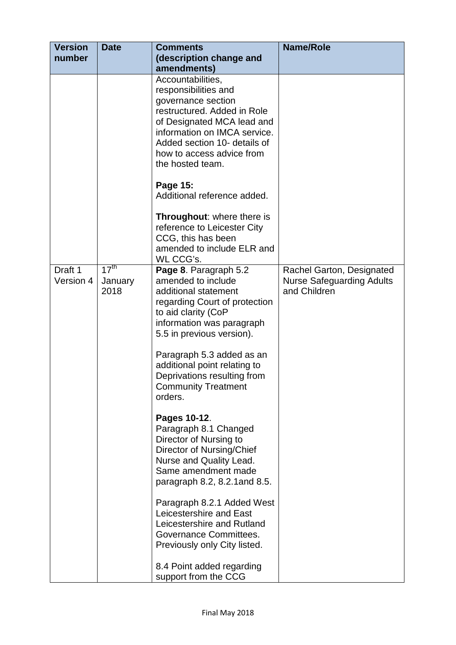| <b>Version</b>       | <b>Date</b>                         | <b>Comments</b>                                                                                                                                                                                                                                                                                                                                                                                                                                                                                                                                                                                                                                                | <b>Name/Role</b>                                                              |
|----------------------|-------------------------------------|----------------------------------------------------------------------------------------------------------------------------------------------------------------------------------------------------------------------------------------------------------------------------------------------------------------------------------------------------------------------------------------------------------------------------------------------------------------------------------------------------------------------------------------------------------------------------------------------------------------------------------------------------------------|-------------------------------------------------------------------------------|
| number               |                                     | (description change and                                                                                                                                                                                                                                                                                                                                                                                                                                                                                                                                                                                                                                        |                                                                               |
|                      |                                     | amendments)                                                                                                                                                                                                                                                                                                                                                                                                                                                                                                                                                                                                                                                    |                                                                               |
|                      |                                     | Accountabilities,<br>responsibilities and<br>governance section<br>restructured. Added in Role<br>of Designated MCA lead and<br>information on IMCA service.<br>Added section 10- details of<br>how to access advice from<br>the hosted team.                                                                                                                                                                                                                                                                                                                                                                                                                  |                                                                               |
|                      |                                     | Page 15:<br>Additional reference added.                                                                                                                                                                                                                                                                                                                                                                                                                                                                                                                                                                                                                        |                                                                               |
|                      |                                     | <b>Throughout:</b> where there is<br>reference to Leicester City<br>CCG, this has been<br>amended to include ELR and<br>WL CCG's.                                                                                                                                                                                                                                                                                                                                                                                                                                                                                                                              |                                                                               |
| Draft 1<br>Version 4 | 17 <sup>th</sup><br>January<br>2018 | Page 8. Paragraph 5.2<br>amended to include<br>additional statement<br>regarding Court of protection<br>to aid clarity (CoP<br>information was paragraph<br>5.5 in previous version).<br>Paragraph 5.3 added as an<br>additional point relating to<br>Deprivations resulting from<br><b>Community Treatment</b><br>orders.<br>Pages 10-12.<br>Paragraph 8.1 Changed<br>Director of Nursing to<br>Director of Nursing/Chief<br>Nurse and Quality Lead.<br>Same amendment made<br>paragraph 8.2, 8.2.1 and 8.5.<br>Paragraph 8.2.1 Added West<br>Leicestershire and East<br>Leicestershire and Rutland<br>Governance Committees.<br>Previously only City listed. | Rachel Garton, Designated<br><b>Nurse Safeguarding Adults</b><br>and Children |
|                      |                                     | 8.4 Point added regarding<br>support from the CCG                                                                                                                                                                                                                                                                                                                                                                                                                                                                                                                                                                                                              |                                                                               |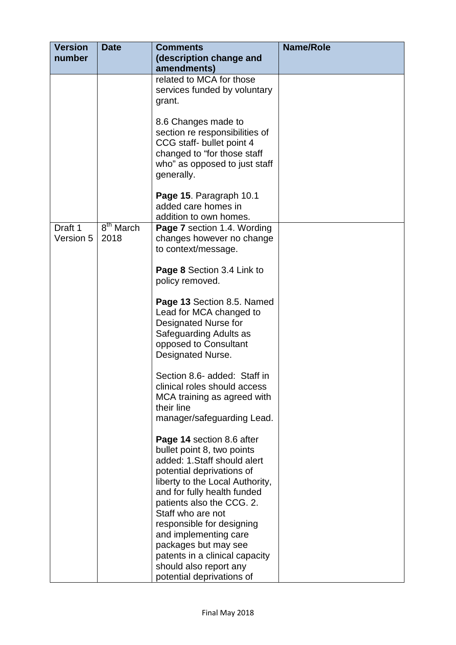| <b>Version</b> | <b>Date</b>           | <b>Comments</b>                                            | <b>Name/Role</b> |
|----------------|-----------------------|------------------------------------------------------------|------------------|
| number         |                       | (description change and                                    |                  |
|                |                       | amendments)                                                |                  |
|                |                       | related to MCA for those                                   |                  |
|                |                       | services funded by voluntary                               |                  |
|                |                       | grant.                                                     |                  |
|                |                       |                                                            |                  |
|                |                       | 8.6 Changes made to                                        |                  |
|                |                       | section re responsibilities of                             |                  |
|                |                       | CCG staff- bullet point 4                                  |                  |
|                |                       | changed to "for those staff                                |                  |
|                |                       | who" as opposed to just staff                              |                  |
|                |                       | generally.                                                 |                  |
|                |                       |                                                            |                  |
|                |                       | Page 15. Paragraph 10.1                                    |                  |
|                |                       | added care homes in                                        |                  |
|                |                       | addition to own homes.                                     |                  |
| Draft 1        | 8 <sup>th</sup> March | Page 7 section 1.4. Wording                                |                  |
| Version 5      | 2018                  | changes however no change                                  |                  |
|                |                       | to context/message.                                        |                  |
|                |                       |                                                            |                  |
|                |                       | Page 8 Section 3.4 Link to                                 |                  |
|                |                       | policy removed.                                            |                  |
|                |                       |                                                            |                  |
|                |                       | Page 13 Section 8.5. Named                                 |                  |
|                |                       | Lead for MCA changed to                                    |                  |
|                |                       | Designated Nurse for                                       |                  |
|                |                       | Safeguarding Adults as                                     |                  |
|                |                       | opposed to Consultant                                      |                  |
|                |                       | Designated Nurse.                                          |                  |
|                |                       |                                                            |                  |
|                |                       | Section 8.6- added: Staff in                               |                  |
|                |                       | clinical roles should access                               |                  |
|                |                       | MCA training as agreed with                                |                  |
|                |                       | their line                                                 |                  |
|                |                       | manager/safeguarding Lead.                                 |                  |
|                |                       |                                                            |                  |
|                |                       | Page 14 section 8.6 after                                  |                  |
|                |                       | bullet point 8, two points<br>added: 1. Staff should alert |                  |
|                |                       | potential deprivations of                                  |                  |
|                |                       | liberty to the Local Authority,                            |                  |
|                |                       | and for fully health funded                                |                  |
|                |                       | patients also the CCG. 2.                                  |                  |
|                |                       | Staff who are not                                          |                  |
|                |                       | responsible for designing                                  |                  |
|                |                       | and implementing care                                      |                  |
|                |                       | packages but may see                                       |                  |
|                |                       | patents in a clinical capacity                             |                  |
|                |                       | should also report any                                     |                  |
|                |                       | potential deprivations of                                  |                  |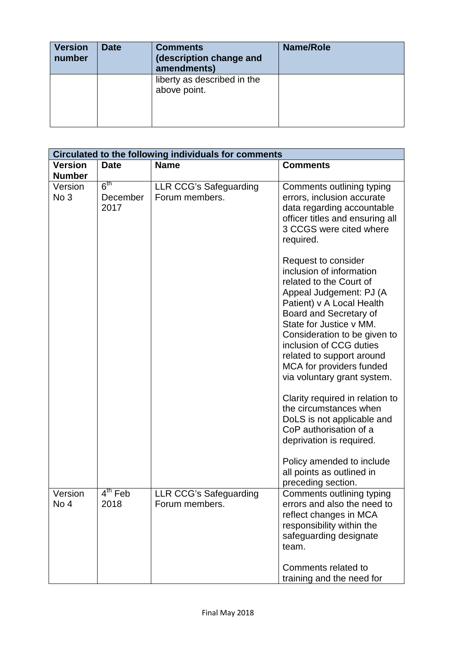| <b>Version</b><br>number | <b>Date</b> | <b>Comments</b><br>(description change and<br>amendments) | <b>Name/Role</b> |
|--------------------------|-------------|-----------------------------------------------------------|------------------|
|                          |             | liberty as described in the<br>above point.               |                  |

| Circulated to the following individuals for comments |                                     |                                                 |                                                                                                                                                                                                                                                                                                                                            |
|------------------------------------------------------|-------------------------------------|-------------------------------------------------|--------------------------------------------------------------------------------------------------------------------------------------------------------------------------------------------------------------------------------------------------------------------------------------------------------------------------------------------|
| <b>Version</b>                                       | <b>Date</b>                         | <b>Name</b>                                     | <b>Comments</b>                                                                                                                                                                                                                                                                                                                            |
| <b>Number</b>                                        |                                     |                                                 |                                                                                                                                                                                                                                                                                                                                            |
| Version<br>No 3                                      | 6 <sup>th</sup><br>December<br>2017 | <b>LLR CCG's Safeguarding</b><br>Forum members. | Comments outlining typing<br>errors, inclusion accurate<br>data regarding accountable<br>officer titles and ensuring all<br>3 CCGS were cited where<br>required.                                                                                                                                                                           |
|                                                      |                                     |                                                 | Request to consider<br>inclusion of information<br>related to the Court of<br>Appeal Judgement: PJ (A<br>Patient) v A Local Health<br>Board and Secretary of<br>State for Justice v MM.<br>Consideration to be given to<br>inclusion of CCG duties<br>related to support around<br>MCA for providers funded<br>via voluntary grant system. |
|                                                      |                                     |                                                 | Clarity required in relation to<br>the circumstances when<br>DoLS is not applicable and<br>CoP authorisation of a<br>deprivation is required.<br>Policy amended to include<br>all points as outlined in<br>preceding section.                                                                                                              |
| Version<br>No 4                                      | $4th$ Feb<br>2018                   | LLR CCG's Safeguarding<br>Forum members.        | Comments outlining typing<br>errors and also the need to<br>reflect changes in MCA<br>responsibility within the<br>safeguarding designate<br>team.<br>Comments related to<br>training and the need for                                                                                                                                     |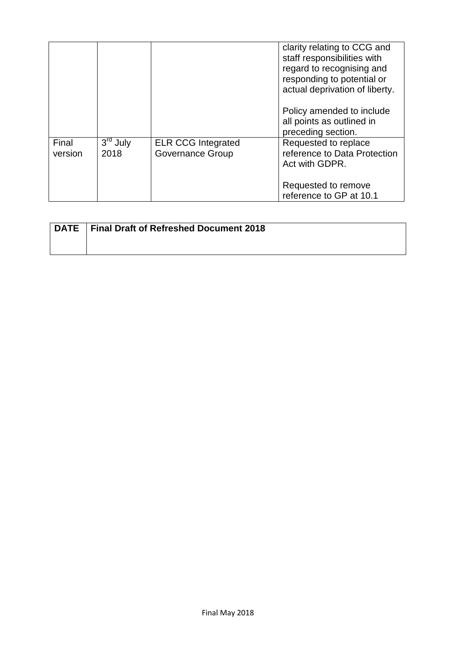|                  |                    |                                                      | clarity relating to CCG and<br>staff responsibilities with<br>regard to recognising and<br>responding to potential or<br>actual deprivation of liberty.<br>Policy amended to include<br>all points as outlined in<br>preceding section. |
|------------------|--------------------|------------------------------------------------------|-----------------------------------------------------------------------------------------------------------------------------------------------------------------------------------------------------------------------------------------|
| Final<br>version | $3rd$ July<br>2018 | <b>ELR CCG Integrated</b><br><b>Governance Group</b> | Requested to replace<br>reference to Data Protection<br>Act with GDPR.<br>Requested to remove<br>reference to GP at 10.1                                                                                                                |

| DATE   Final Draft of Refreshed Document 2018 |
|-----------------------------------------------|
|                                               |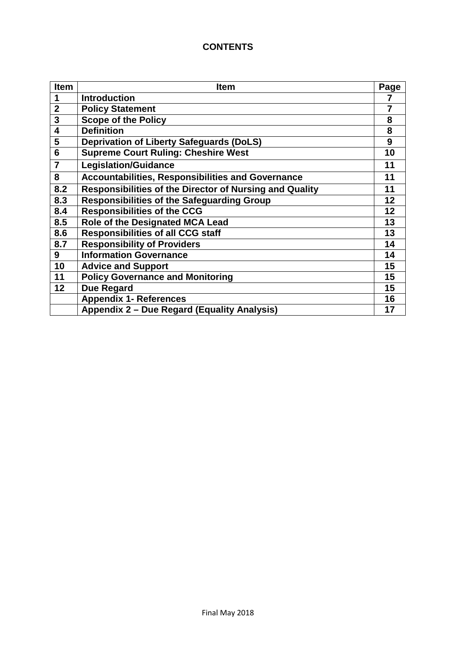# **CONTENTS**

| <b>Item</b>    | <b>Item</b>                                                    | Page           |
|----------------|----------------------------------------------------------------|----------------|
| 1              | <b>Introduction</b>                                            | 7              |
| $\overline{2}$ | <b>Policy Statement</b>                                        | $\overline{7}$ |
| $\mathbf{3}$   | <b>Scope of the Policy</b>                                     | 8              |
| 4              | <b>Definition</b>                                              | 8              |
| 5              | <b>Deprivation of Liberty Safeguards (DoLS)</b>                | 9              |
| 6              | <b>Supreme Court Ruling: Cheshire West</b>                     | 10             |
| $\overline{7}$ | <b>Legislation/Guidance</b>                                    | 11             |
| 8              | <b>Accountabilities, Responsibilities and Governance</b>       | 11             |
| 8.2            | <b>Responsibilities of the Director of Nursing and Quality</b> | 11             |
| 8.3            | <b>Responsibilities of the Safeguarding Group</b>              | 12             |
| 8.4            | <b>Responsibilities of the CCG</b>                             | 12             |
| 8.5            | Role of the Designated MCA Lead                                | 13             |
| 8.6            | <b>Responsibilities of all CCG staff</b>                       | 13             |
| 8.7            | <b>Responsibility of Providers</b>                             | 14             |
| 9              | <b>Information Governance</b>                                  | 14             |
| 10             | <b>Advice and Support</b>                                      | 15             |
| 11             | <b>Policy Governance and Monitoring</b>                        | 15             |
| 12             | <b>Due Regard</b>                                              | 15             |
|                | <b>Appendix 1- References</b>                                  | 16             |
|                | Appendix 2 - Due Regard (Equality Analysis)                    | 17             |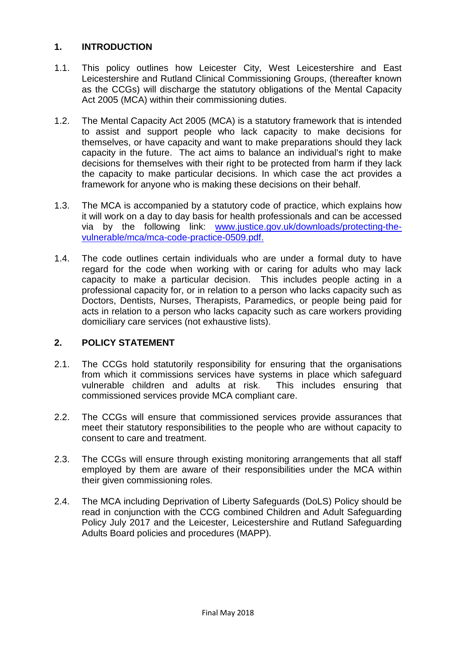## **1. INTRODUCTION**

- 1.1. This policy outlines how Leicester City, West Leicestershire and East Leicestershire and Rutland Clinical Commissioning Groups, (thereafter known as the CCGs) will discharge the statutory obligations of the Mental Capacity Act 2005 (MCA) within their commissioning duties.
- 1.2. The Mental Capacity Act 2005 (MCA) is a statutory framework that is intended to assist and support people who lack capacity to make decisions for themselves, or have capacity and want to make preparations should they lack capacity in the future. The act aims to balance an individual's right to make decisions for themselves with their right to be protected from harm if they lack the capacity to make particular decisions. In which case the act provides a framework for anyone who is making these decisions on their behalf.
- 1.3. The MCA is accompanied by a statutory code of practice, which explains how it will work on a day to day basis for health professionals and can be accessed via by the following link: [www.justice.gov.uk/downloads/protecting-the](http://www.justice.gov.uk/downloads/protecting-the-vulnerable/mca/mca-code-practice-0509.pdf)[vulnerable/mca/mca-code-practice-0509.pdf.](http://www.justice.gov.uk/downloads/protecting-the-vulnerable/mca/mca-code-practice-0509.pdf)
- 1.4. The code outlines certain individuals who are under a formal duty to have regard for the code when working with or caring for adults who may lack capacity to make a particular decision. This includes people acting in a professional capacity for, or in relation to a person who lacks capacity such as Doctors, Dentists, Nurses, Therapists, Paramedics, or people being paid for acts in relation to a person who lacks capacity such as care workers providing domiciliary care services (not exhaustive lists).

#### **2. POLICY STATEMENT**

- 2.1. The CCGs hold statutorily responsibility for ensuring that the organisations from which it commissions services have systems in place which safeguard vulnerable children and adults at risk. This includes ensuring that commissioned services provide MCA compliant care.
- 2.2. The CCGs will ensure that commissioned services provide assurances that meet their statutory responsibilities to the people who are without capacity to consent to care and treatment.
- 2.3. The CCGs will ensure through existing monitoring arrangements that all staff employed by them are aware of their responsibilities under the MCA within their given commissioning roles.
- 2.4. The MCA including Deprivation of Liberty Safeguards (DoLS) Policy should be read in conjunction with the CCG combined Children and Adult Safeguarding Policy July 2017 and the Leicester, Leicestershire and Rutland Safeguarding Adults Board policies and procedures (MAPP).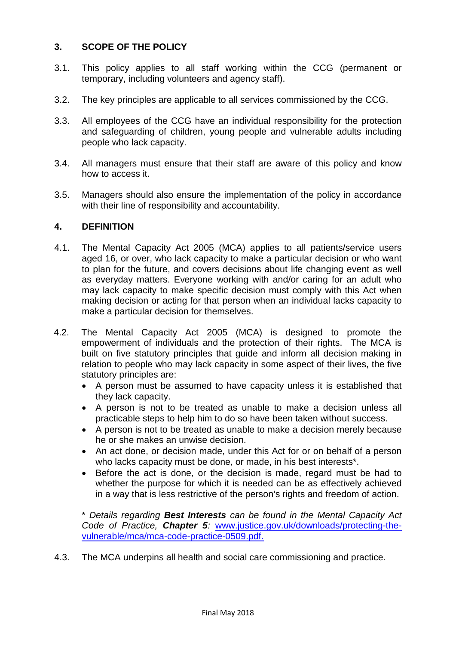## **3. SCOPE OF THE POLICY**

- 3.1. This policy applies to all staff working within the CCG (permanent or temporary, including volunteers and agency staff).
- 3.2. The key principles are applicable to all services commissioned by the CCG.
- 3.3. All employees of the CCG have an individual responsibility for the protection and safeguarding of children, young people and vulnerable adults including people who lack capacity.
- 3.4. All managers must ensure that their staff are aware of this policy and know how to access it.
- 3.5. Managers should also ensure the implementation of the policy in accordance with their line of responsibility and accountability.

#### **4. DEFINITION**

- 4.1. The Mental Capacity Act 2005 (MCA) applies to all patients/service users aged 16, or over, who lack capacity to make a particular decision or who want to plan for the future, and covers decisions about life changing event as well as everyday matters. Everyone working with and/or caring for an adult who may lack capacity to make specific decision must comply with this Act when making decision or acting for that person when an individual lacks capacity to make a particular decision for themselves.
- 4.2. The Mental Capacity Act 2005 (MCA) is designed to promote the empowerment of individuals and the protection of their rights. The MCA is built on five statutory principles that guide and inform all decision making in relation to people who may lack capacity in some aspect of their lives, the five statutory principles are:
	- A person must be assumed to have capacity unless it is established that they lack capacity.
	- A person is not to be treated as unable to make a decision unless all practicable steps to help him to do so have been taken without success.
	- A person is not to be treated as unable to make a decision merely because he or she makes an unwise decision.
	- An act done, or decision made, under this Act for or on behalf of a person who lacks capacity must be done, or made, in his best interests\*.
	- Before the act is done, or the decision is made, regard must be had to whether the purpose for which it is needed can be as effectively achieved in a way that is less restrictive of the person's rights and freedom of action.

\* *Details regarding Best Interests can be found in the Mental Capacity Act Code of Practice, Chapter 5:* [www.justice.gov.uk/downloads/protecting-the](http://www.justice.gov.uk/downloads/protecting-the-vulnerable/mca/mca-code-practice-0509.pdf)[vulnerable/mca/mca-code-practice-0509.pdf.](http://www.justice.gov.uk/downloads/protecting-the-vulnerable/mca/mca-code-practice-0509.pdf)

4.3. The MCA underpins all health and social care commissioning and practice.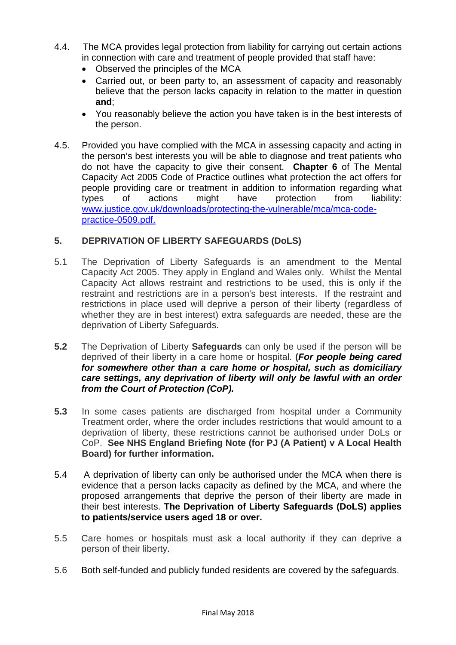- 4.4. The MCA provides legal protection from liability for carrying out certain actions in connection with care and treatment of people provided that staff have:
	- Observed the principles of the MCA
	- Carried out, or been party to, an assessment of capacity and reasonably believe that the person lacks capacity in relation to the matter in question **and**;
	- You reasonably believe the action you have taken is in the best interests of the person.
- 4.5. Provided you have complied with the MCA in assessing capacity and acting in the person's best interests you will be able to diagnose and treat patients who do not have the capacity to give their consent. **Chapter 6** of The Mental Capacity Act 2005 Code of Practice outlines what protection the act offers for people providing care or treatment in addition to information regarding what types of actions might have protection from liability: [www.justice.gov.uk/downloads/protecting-the-vulnerable/mca/mca-code](http://www.justice.gov.uk/downloads/protecting-the-vulnerable/mca/mca-code-practice-0509.pdf)[practice-0509.pdf.](http://www.justice.gov.uk/downloads/protecting-the-vulnerable/mca/mca-code-practice-0509.pdf)

## **5. DEPRIVATION OF LIBERTY SAFEGUARDS (DoLS)**

- 5.1 The Deprivation of Liberty Safeguards is an amendment to the Mental Capacity Act 2005. They apply in England and Wales only. Whilst the Mental Capacity Act allows restraint and restrictions to be used, this is only if the restraint and restrictions are in a person's best interests. If the restraint and restrictions in place used will deprive a person of their liberty (regardless of whether they are in best interest) extra safeguards are needed, these are the deprivation of Liberty Safeguards.
- **5.2** The Deprivation of Liberty **Safeguards** can only be used if the person will be deprived of their liberty in a care home or hospital. **(***For people being cared for somewhere other than a care home or hospital, such as domiciliary care settings, any deprivation of liberty will only be lawful with an order from the Court of Protection (CoP).*
- **5.3** In some cases patients are discharged from hospital under a Community Treatment order, where the order includes restrictions that would amount to a deprivation of liberty, these restrictions cannot be authorised under DoLs or CoP. **See NHS England Briefing Note (for PJ (A Patient) v A Local Health Board) for further information.**
- 5.4 A deprivation of liberty can only be authorised under the MCA when there is evidence that a person lacks capacity as defined by the MCA, and where the proposed arrangements that deprive the person of their liberty are made in their best interests. **The Deprivation of Liberty Safeguards (DoLS) applies to patients/service users aged 18 or over.**
- 5.5 Care homes or hospitals must ask a local authority if they can deprive a person of their liberty.
- 5.6 Both self-funded and publicly funded residents are covered by the safeguards.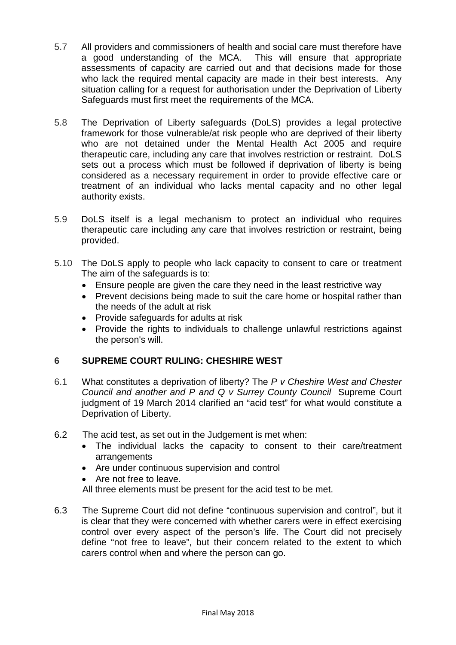- 5.7 All providers and commissioners of health and social care must therefore have a good understanding of the MCA. This will ensure that appropriate assessments of capacity are carried out and that decisions made for those who lack the required mental capacity are made in their best interests. Any situation calling for a request for authorisation under the Deprivation of Liberty Safeguards must first meet the requirements of the MCA.
- 5.8 The Deprivation of Liberty safeguards (DoLS) provides a legal protective framework for those vulnerable/at risk people who are deprived of their liberty who are not detained under the Mental Health Act 2005 and require therapeutic care, including any care that involves restriction or restraint. DoLS sets out a process which must be followed if deprivation of liberty is being considered as a necessary requirement in order to provide effective care or treatment of an individual who lacks mental capacity and no other legal authority exists.
- 5.9 DoLS itself is a legal mechanism to protect an individual who requires therapeutic care including any care that involves restriction or restraint, being provided.
- 5.10 The DoLS apply to people who lack capacity to consent to care or treatment The aim of the safeguards is to:
	- Ensure people are given the care they need in the least restrictive way
	- Prevent decisions being made to suit the care home or hospital rather than the needs of the adult at risk
	- Provide safeguards for adults at risk
	- Provide the rights to individuals to challenge unlawful restrictions against the person's will.

## **6 SUPREME COURT RULING: CHESHIRE WEST**

- 6.1 What constitutes a deprivation of liberty? The *P v Cheshire West and Chester Council and another and P and Q v Surrey County Council* Supreme Court judgment of 19 March 2014 clarified an "acid test" for what would constitute a Deprivation of Liberty.
- 6.2 The acid test, as set out in the Judgement is met when:
	- The individual lacks the capacity to consent to their care/treatment arrangements
	- Are under continuous supervision and control
	- Are not free to leave.
	- All three elements must be present for the acid test to be met.
- 6.3 The Supreme Court did not define "continuous supervision and control", but it is clear that they were concerned with whether carers were in effect exercising control over every aspect of the person's life. The Court did not precisely define "not free to leave", but their concern related to the extent to which carers control when and where the person can go.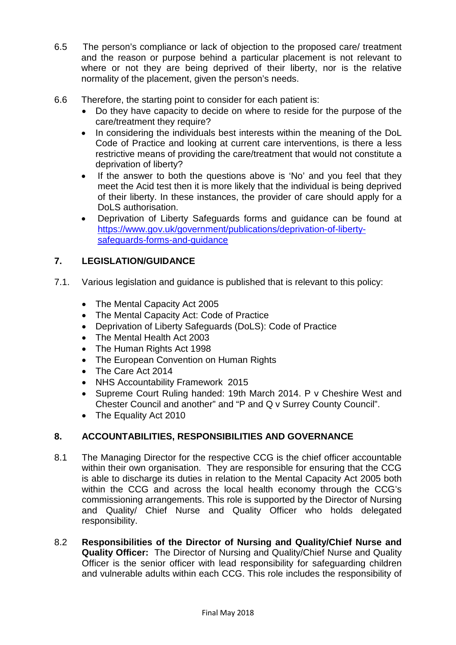- 6.5 The person's compliance or lack of objection to the proposed care/ treatment and the reason or purpose behind a particular placement is not relevant to where or not they are being deprived of their liberty, nor is the relative normality of the placement, given the person's needs.
- 6.6 Therefore, the starting point to consider for each patient is:
	- Do they have capacity to decide on where to reside for the purpose of the care/treatment they require?
	- In considering the individuals best interests within the meaning of the DoL Code of Practice and looking at current care interventions, is there a less restrictive means of providing the care/treatment that would not constitute a deprivation of liberty?
	- If the answer to both the questions above is 'No' and you feel that they meet the Acid test then it is more likely that the individual is being deprived of their liberty. In these instances, the provider of care should apply for a DoLS authorisation.
	- Deprivation of Liberty Safeguards forms and guidance can be found at [https://www.gov.uk/government/publications/deprivation-of-liberty](https://www.gov.uk/government/publications/deprivation-of-liberty-safeguards-forms-and-guidance)[safeguards-forms-and-guidance](https://www.gov.uk/government/publications/deprivation-of-liberty-safeguards-forms-and-guidance)

# **7. LEGISLATION/GUIDANCE**

- 7.1. Various legislation and guidance is published that is relevant to this policy:
	- The Mental Capacity Act 2005
	- The Mental Capacity Act: Code of Practice
	- Deprivation of Liberty Safeguards (DoLS): Code of Practice
	- The Mental Health Act 2003
	- The Human Rights Act 1998
	- The European Convention on Human Rights
	- The Care Act 2014
	- NHS Accountability Framework 2015
	- Supreme Court Ruling handed: 19th March 2014. P v Cheshire West and Chester Council and another" and "P and Q v Surrey County Council".
	- The Equality Act 2010

## **8. ACCOUNTABILITIES, RESPONSIBILITIES AND GOVERNANCE**

- 8.1 The Managing Director for the respective CCG is the chief officer accountable within their own organisation. They are responsible for ensuring that the CCG is able to discharge its duties in relation to the Mental Capacity Act 2005 both within the CCG and across the local health economy through the CCG's commissioning arrangements. This role is supported by the Director of Nursing and Quality/ Chief Nurse and Quality Officer who holds delegated responsibility.
- 8.2 **Responsibilities of the Director of Nursing and Quality/Chief Nurse and Quality Officer:** The Director of Nursing and Quality/Chief Nurse and Quality Officer is the senior officer with lead responsibility for safeguarding children and vulnerable adults within each CCG. This role includes the responsibility of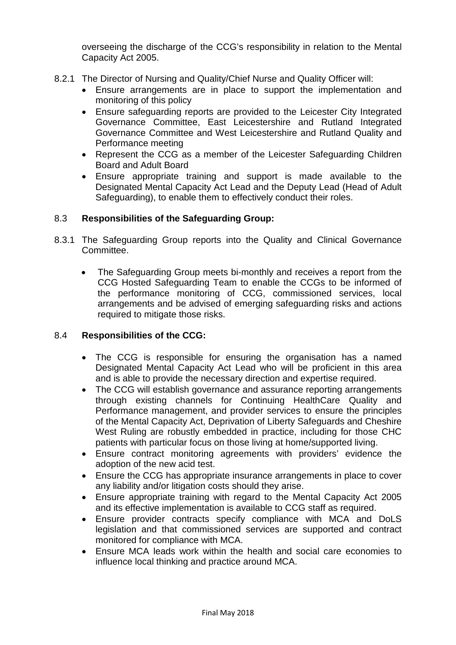overseeing the discharge of the CCG's responsibility in relation to the Mental Capacity Act 2005.

- 8.2.1 The Director of Nursing and Quality/Chief Nurse and Quality Officer will:
	- Ensure arrangements are in place to support the implementation and monitoring of this policy
	- Ensure safeguarding reports are provided to the Leicester City Integrated Governance Committee, East Leicestershire and Rutland Integrated Governance Committee and West Leicestershire and Rutland Quality and Performance meeting
	- Represent the CCG as a member of the Leicester Safeguarding Children Board and Adult Board
	- Ensure appropriate training and support is made available to the Designated Mental Capacity Act Lead and the Deputy Lead (Head of Adult Safeguarding), to enable them to effectively conduct their roles.

## 8.3 **Responsibilities of the Safeguarding Group:**

- 8.3.1 The Safeguarding Group reports into the Quality and Clinical Governance Committee.
	- The Safeguarding Group meets bi-monthly and receives a report from the CCG Hosted Safeguarding Team to enable the CCGs to be informed of the performance monitoring of CCG, commissioned services, local arrangements and be advised of emerging safeguarding risks and actions required to mitigate those risks.

#### 8.4 **Responsibilities of the CCG:**

- The CCG is responsible for ensuring the organisation has a named Designated Mental Capacity Act Lead who will be proficient in this area and is able to provide the necessary direction and expertise required.
- The CCG will establish governance and assurance reporting arrangements through existing channels for Continuing HealthCare Quality and Performance management, and provider services to ensure the principles of the Mental Capacity Act, Deprivation of Liberty Safeguards and Cheshire West Ruling are robustly embedded in practice, including for those CHC patients with particular focus on those living at home/supported living.
- Ensure contract monitoring agreements with providers' evidence the adoption of the new acid test.
- Ensure the CCG has appropriate insurance arrangements in place to cover any liability and/or litigation costs should they arise.
- Ensure appropriate training with regard to the Mental Capacity Act 2005 and its effective implementation is available to CCG staff as required.
- Ensure provider contracts specify compliance with MCA and DoLS legislation and that commissioned services are supported and contract monitored for compliance with MCA.
- Ensure MCA leads work within the health and social care economies to influence local thinking and practice around MCA.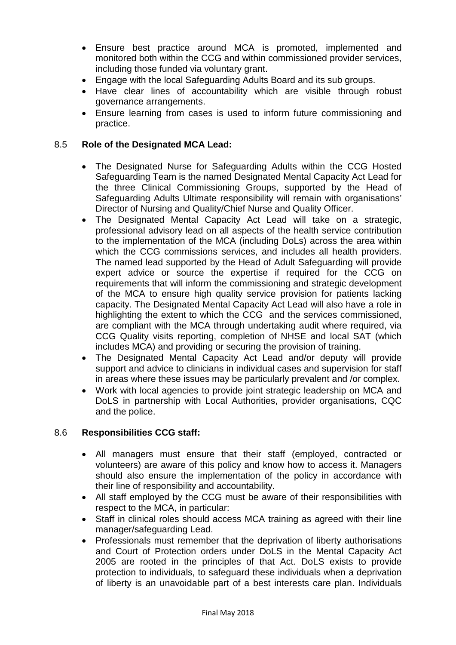- Ensure best practice around MCA is promoted, implemented and monitored both within the CCG and within commissioned provider services, including those funded via voluntary grant.
- Engage with the local Safeguarding Adults Board and its sub groups.
- Have clear lines of accountability which are visible through robust governance arrangements.
- Ensure learning from cases is used to inform future commissioning and practice.

## 8.5 **Role of the Designated MCA Lead:**

- The Designated Nurse for Safeguarding Adults within the CCG Hosted Safeguarding Team is the named Designated Mental Capacity Act Lead for the three Clinical Commissioning Groups, supported by the Head of Safeguarding Adults Ultimate responsibility will remain with organisations' Director of Nursing and Quality/Chief Nurse and Quality Officer.
- The Designated Mental Capacity Act Lead will take on a strategic, professional advisory lead on all aspects of the health service contribution to the implementation of the MCA (including DoLs) across the area within which the CCG commissions services, and includes all health providers. The named lead supported by the Head of Adult Safeguarding will provide expert advice or source the expertise if required for the CCG on requirements that will inform the commissioning and strategic development of the MCA to ensure high quality service provision for patients lacking capacity. The Designated Mental Capacity Act Lead will also have a role in highlighting the extent to which the CCG and the services commissioned, are compliant with the MCA through undertaking audit where required, via CCG Quality visits reporting, completion of NHSE and local SAT (which includes MCA) and providing or securing the provision of training.
- The Designated Mental Capacity Act Lead and/or deputy will provide support and advice to clinicians in individual cases and supervision for staff in areas where these issues may be particularly prevalent and /or complex.
- Work with local agencies to provide joint strategic leadership on MCA and DoLS in partnership with Local Authorities, provider organisations, CQC and the police.

#### 8.6 **Responsibilities CCG staff:**

- All managers must ensure that their staff (employed, contracted or volunteers) are aware of this policy and know how to access it. Managers should also ensure the implementation of the policy in accordance with their line of responsibility and accountability.
- All staff employed by the CCG must be aware of their responsibilities with respect to the MCA, in particular:
- Staff in clinical roles should access MCA training as agreed with their line manager/safeguarding Lead.
- Professionals must remember that the deprivation of liberty authorisations and Court of Protection orders under DoLS in the Mental Capacity Act 2005 are rooted in the principles of that Act. DoLS exists to provide protection to individuals, to safeguard these individuals when a deprivation of liberty is an unavoidable part of a best interests care plan. Individuals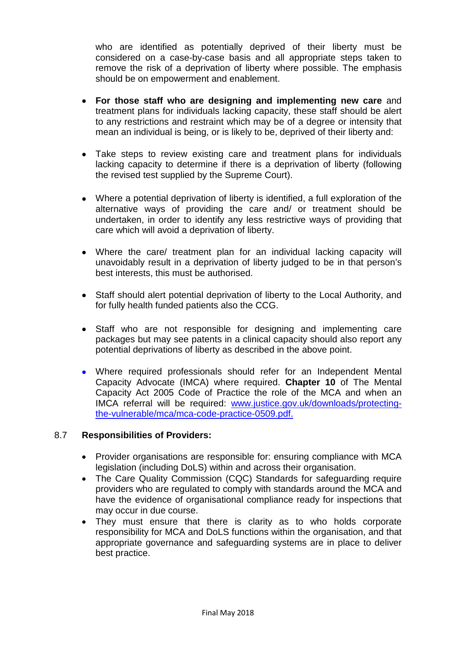who are identified as potentially deprived of their liberty must be considered on a case-by-case basis and all appropriate steps taken to remove the risk of a deprivation of liberty where possible. The emphasis should be on empowerment and enablement.

- **For those staff who are designing and implementing new care** and treatment plans for individuals lacking capacity, these staff should be alert to any restrictions and restraint which may be of a degree or intensity that mean an individual is being, or is likely to be, deprived of their liberty and:
- Take steps to review existing care and treatment plans for individuals lacking capacity to determine if there is a deprivation of liberty (following the revised test supplied by the Supreme Court).
- Where a potential deprivation of liberty is identified, a full exploration of the alternative ways of providing the care and/ or treatment should be undertaken, in order to identify any less restrictive ways of providing that care which will avoid a deprivation of liberty.
- Where the care/ treatment plan for an individual lacking capacity will unavoidably result in a deprivation of liberty judged to be in that person's best interests, this must be authorised.
- Staff should alert potential deprivation of liberty to the Local Authority, and for fully health funded patients also the CCG.
- Staff who are not responsible for designing and implementing care packages but may see patents in a clinical capacity should also report any potential deprivations of liberty as described in the above point.
- Where required professionals should refer for an Independent Mental Capacity Advocate (IMCA) where required. **Chapter 10** of The Mental Capacity Act 2005 Code of Practice the role of the MCA and when an IMCA referral will be required: [www.justice.gov.uk/downloads/protecting](http://www.justice.gov.uk/downloads/protecting-the-vulnerable/mca/mca-code-practice-0509.pdf)[the-vulnerable/mca/mca-code-practice-0509.pdf.](http://www.justice.gov.uk/downloads/protecting-the-vulnerable/mca/mca-code-practice-0509.pdf)

#### 8.7 **Responsibilities of Providers:**

- Provider organisations are responsible for: ensuring compliance with MCA legislation (including DoLS) within and across their organisation.
- The Care Quality Commission (CQC) Standards for safeguarding require providers who are regulated to comply with standards around the MCA and have the evidence of organisational compliance ready for inspections that may occur in due course.
- They must ensure that there is clarity as to who holds corporate responsibility for MCA and DoLS functions within the organisation, and that appropriate governance and safeguarding systems are in place to deliver best practice.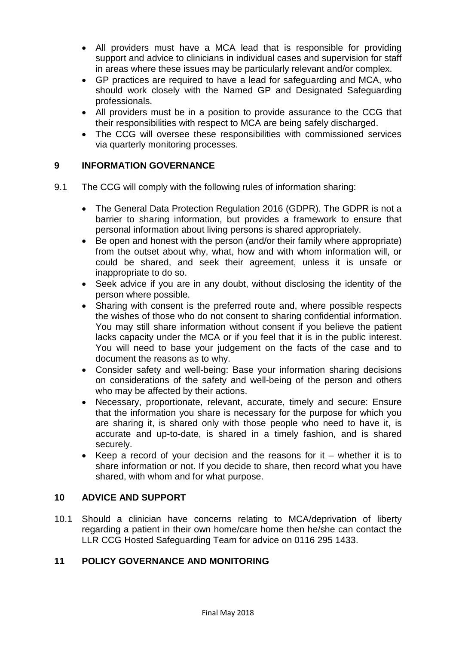- All providers must have a MCA lead that is responsible for providing support and advice to clinicians in individual cases and supervision for staff in areas where these issues may be particularly relevant and/or complex.
- GP practices are required to have a lead for safeguarding and MCA, who should work closely with the Named GP and Designated Safeguarding professionals.
- All providers must be in a position to provide assurance to the CCG that their responsibilities with respect to MCA are being safely discharged.
- The CCG will oversee these responsibilities with commissioned services via quarterly monitoring processes.

## **9 INFORMATION GOVERNANCE**

- 9.1 The CCG will comply with the following rules of information sharing:
	- The General Data Protection Regulation 2016 (GDPR). The GDPR is not a barrier to sharing information, but provides a framework to ensure that personal information about living persons is shared appropriately.
	- Be open and honest with the person (and/or their family where appropriate) from the outset about why, what, how and with whom information will, or could be shared, and seek their agreement, unless it is unsafe or inappropriate to do so.
	- Seek advice if you are in any doubt, without disclosing the identity of the person where possible.
	- Sharing with consent is the preferred route and, where possible respects the wishes of those who do not consent to sharing confidential information. You may still share information without consent if you believe the patient lacks capacity under the MCA or if you feel that it is in the public interest. You will need to base your judgement on the facts of the case and to document the reasons as to why.
	- Consider safety and well-being: Base your information sharing decisions on considerations of the safety and well-being of the person and others who may be affected by their actions.
	- Necessary, proportionate, relevant, accurate, timely and secure: Ensure that the information you share is necessary for the purpose for which you are sharing it, is shared only with those people who need to have it, is accurate and up-to-date, is shared in a timely fashion, and is shared securely.
	- Keep a record of your decision and the reasons for it whether it is to share information or not. If you decide to share, then record what you have shared, with whom and for what purpose.

#### **10 ADVICE AND SUPPORT**

10.1 Should a clinician have concerns relating to MCA/deprivation of liberty regarding a patient in their own home/care home then he/she can contact the LLR CCG Hosted Safeguarding Team for advice on 0116 295 1433.

#### **11 POLICY GOVERNANCE AND MONITORING**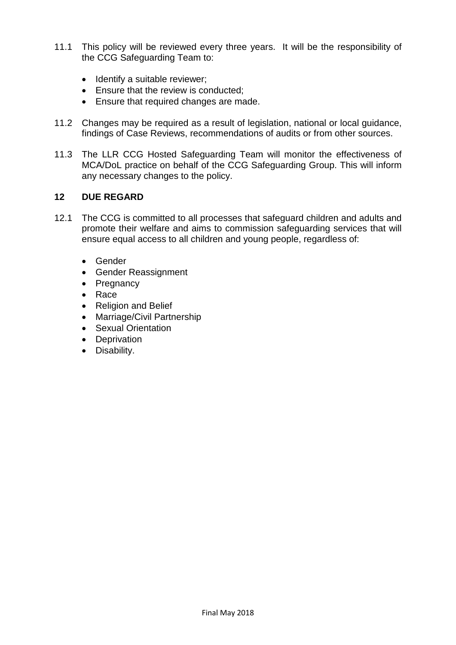- 11.1 This policy will be reviewed every three years. It will be the responsibility of the CCG Safeguarding Team to:
	- Identify a suitable reviewer;
	- Ensure that the review is conducted:
	- Ensure that required changes are made.
- 11.2 Changes may be required as a result of legislation, national or local guidance, findings of Case Reviews, recommendations of audits or from other sources.
- 11.3 The LLR CCG Hosted Safeguarding Team will monitor the effectiveness of MCA/DoL practice on behalf of the CCG Safeguarding Group. This will inform any necessary changes to the policy.

## **12 DUE REGARD**

- 12.1 The CCG is committed to all processes that safeguard children and adults and promote their welfare and aims to commission safeguarding services that will ensure equal access to all children and young people, regardless of:
	- Gender
	- Gender Reassignment
	- Pregnancy
	- Race
	- Religion and Belief
	- Marriage/Civil Partnership
	- Sexual Orientation
	- Deprivation
	- Disability.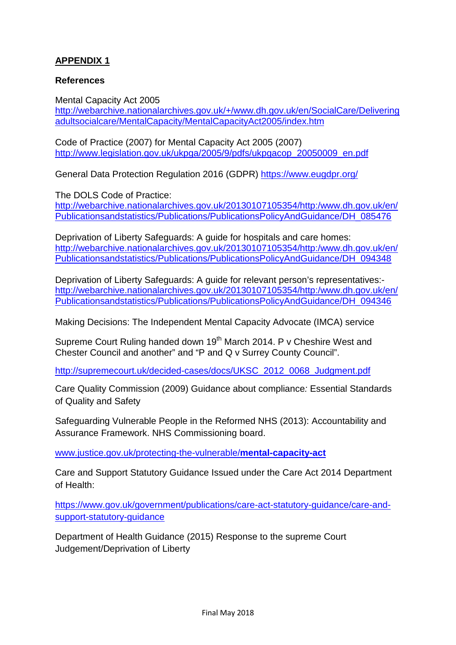# **APPENDIX 1**

## **References**

Mental Capacity Act 2005 [http://webarchive.nationalarchives.gov.uk/+/www.dh.gov.uk/en/SocialCare/Delivering](http://webarchive.nationalarchives.gov.uk/+/www.dh.gov.uk/en/SocialCare/Deliveringadultsocialcare/MentalCapacity/MentalCapacityAct2005/index.htm) [adultsocialcare/MentalCapacity/MentalCapacityAct2005/index.htm](http://webarchive.nationalarchives.gov.uk/+/www.dh.gov.uk/en/SocialCare/Deliveringadultsocialcare/MentalCapacity/MentalCapacityAct2005/index.htm)

Code of Practice (2007) for Mental Capacity Act 2005 (2007) [http://www.legislation.gov.uk/ukpga/2005/9/pdfs/ukpgacop\\_20050009\\_en.pdf](http://www.legislation.gov.uk/ukpga/2005/9/pdfs/ukpgacop_20050009_en.pdf)

General Data Protection Regulation 2016 (GDPR)<https://www.eugdpr.org/>

The DOLS Code of Practice:

[http://webarchive.nationalarchives.gov.uk/20130107105354/http:/www.dh.gov.uk/en/](http://webarchive.nationalarchives.gov.uk/20130107105354/http:/www.dh.gov.uk/en/Publicationsandstatistics/Publications/PublicationsPolicyAndGuidance/DH_085476) [Publicationsandstatistics/Publications/PublicationsPolicyAndGuidance/DH\\_085476](http://webarchive.nationalarchives.gov.uk/20130107105354/http:/www.dh.gov.uk/en/Publicationsandstatistics/Publications/PublicationsPolicyAndGuidance/DH_085476)

Deprivation of Liberty Safeguards: A guide for hospitals and care homes: [http://webarchive.nationalarchives.gov.uk/20130107105354/http:/www.dh.gov.uk/en/](http://webarchive.nationalarchives.gov.uk/20130107105354/http:/www.dh.gov.uk/en/Publicationsandstatistics/Publications/PublicationsPolicyAndGuidance/DH_094348) [Publicationsandstatistics/Publications/PublicationsPolicyAndGuidance/DH\\_094348](http://webarchive.nationalarchives.gov.uk/20130107105354/http:/www.dh.gov.uk/en/Publicationsandstatistics/Publications/PublicationsPolicyAndGuidance/DH_094348)

Deprivation of Liberty Safeguards: A guide for relevant person's representatives: [http://webarchive.nationalarchives.gov.uk/20130107105354/http:/www.dh.gov.uk/en/](http://webarchive.nationalarchives.gov.uk/20130107105354/http:/www.dh.gov.uk/en/Publicationsandstatistics/Publications/PublicationsPolicyAndGuidance/DH_094346) [Publicationsandstatistics/Publications/PublicationsPolicyAndGuidance/DH\\_094346](http://webarchive.nationalarchives.gov.uk/20130107105354/http:/www.dh.gov.uk/en/Publicationsandstatistics/Publications/PublicationsPolicyAndGuidance/DH_094346)

Making Decisions: The Independent Mental Capacity Advocate (IMCA) service

Supreme Court Ruling handed down 19<sup>th</sup> March 2014. P v Cheshire West and Chester Council and another" and "P and Q v Surrey County Council".

[http://supremecourt.uk/decided-cases/docs/UKSC\\_2012\\_0068\\_Judgment.pdf](http://supremecourt.uk/decided-cases/docs/UKSC_2012_0068_Judgment.pdf)

Care Quality Commission (2009) Guidance about compliance*:* Essential Standards of Quality and Safety

Safeguarding Vulnerable People in the Reformed NHS (2013): Accountability and Assurance Framework. NHS Commissioning board.

[www.justice.gov.uk/protecting-the-vulnerable/](http://www.justice.gov.uk/protecting-the-vulnerable/mental-capacity-act)**mental-capacity-act**

Care and Support Statutory Guidance Issued under the Care Act 2014 Department of Health:

[https://www.gov.uk/government/publications/care-act-statutory-guidance/care-and](https://www.gov.uk/government/publications/care-act-statutory-guidance/care-and-support-statutory-guidance)[support-statutory-guidance](https://www.gov.uk/government/publications/care-act-statutory-guidance/care-and-support-statutory-guidance)

Department of Health Guidance (2015) Response to the supreme Court Judgement/Deprivation of Liberty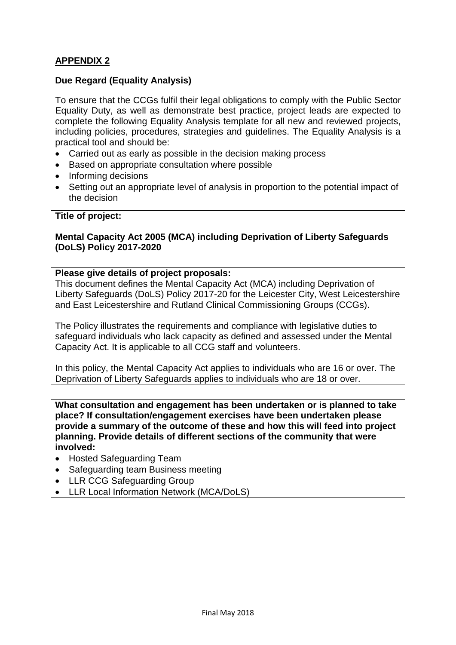# **APPENDIX 2**

### **Due Regard (Equality Analysis)**

To ensure that the CCGs fulfil their legal obligations to comply with the Public Sector Equality Duty, as well as demonstrate best practice, project leads are expected to complete the following Equality Analysis template for all new and reviewed projects, including policies, procedures, strategies and guidelines. The Equality Analysis is a practical tool and should be:

- Carried out as early as possible in the decision making process
- Based on appropriate consultation where possible
- Informing decisions
- Setting out an appropriate level of analysis in proportion to the potential impact of the decision

#### **Title of project:**

**Mental Capacity Act 2005 (MCA) including Deprivation of Liberty Safeguards (DoLS) Policy 2017-2020**

#### **Please give details of project proposals:**

This document defines the Mental Capacity Act (MCA) including Deprivation of Liberty Safeguards (DoLS) Policy 2017-20 for the Leicester City, West Leicestershire and East Leicestershire and Rutland Clinical Commissioning Groups (CCGs).

The Policy illustrates the requirements and compliance with legislative duties to safeguard individuals who lack capacity as defined and assessed under the Mental Capacity Act. It is applicable to all CCG staff and volunteers.

In this policy, the Mental Capacity Act applies to individuals who are 16 or over. The Deprivation of Liberty Safeguards applies to individuals who are 18 or over.

**What consultation and engagement has been undertaken or is planned to take place? If consultation/engagement exercises have been undertaken please provide a summary of the outcome of these and how this will feed into project planning. Provide details of different sections of the community that were involved:**

- Hosted Safeguarding Team
- Safeguarding team Business meeting
- LLR CCG Safeguarding Group
- LLR Local Information Network (MCA/DoLS)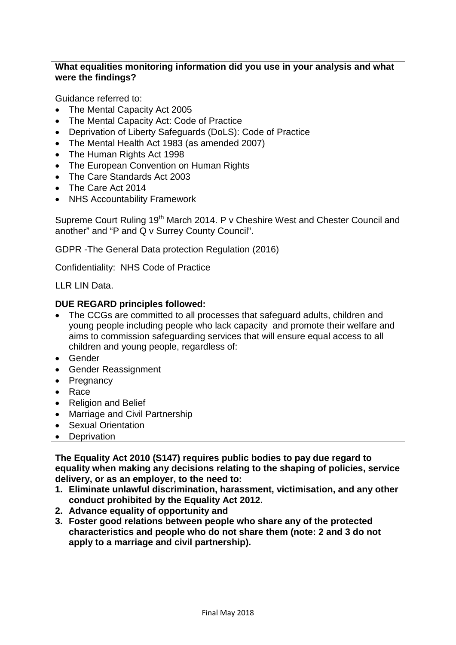## **What equalities monitoring information did you use in your analysis and what were the findings?**

Guidance referred to:

- The Mental Capacity Act 2005
- The Mental Capacity Act: Code of Practice
- Deprivation of Liberty Safeguards (DoLS): Code of Practice
- The Mental Health Act 1983 (as amended 2007)
- The Human Rights Act 1998
- The European Convention on Human Rights
- The Care Standards Act 2003
- The Care Act 2014
- NHS Accountability Framework

Supreme Court Ruling 19<sup>th</sup> March 2014. P v Cheshire West and Chester Council and another" and "P and Q v Surrey County Council".

GDPR -The General Data protection Regulation (2016)

Confidentiality: NHS Code of Practice

LLR LIN Data.

#### **DUE REGARD principles followed:**

- The CCGs are committed to all processes that safeguard adults, children and young people including people who lack capacity and promote their welfare and aims to commission safeguarding services that will ensure equal access to all children and young people, regardless of:
- Gender
- Gender Reassignment
- Pregnancy
- Race
- Religion and Belief
- Marriage and Civil Partnership
- Sexual Orientation
- Deprivation

**The Equality Act 2010 (S147) requires public bodies to pay due regard to equality when making any decisions relating to the shaping of policies, service delivery, or as an employer, to the need to:**

- **1. Eliminate unlawful discrimination, harassment, victimisation, and any other conduct prohibited by the Equality Act 2012.**
- **2. Advance equality of opportunity and**
- **3. Foster good relations between people who share any of the protected characteristics and people who do not share them (note: 2 and 3 do not apply to a marriage and civil partnership).**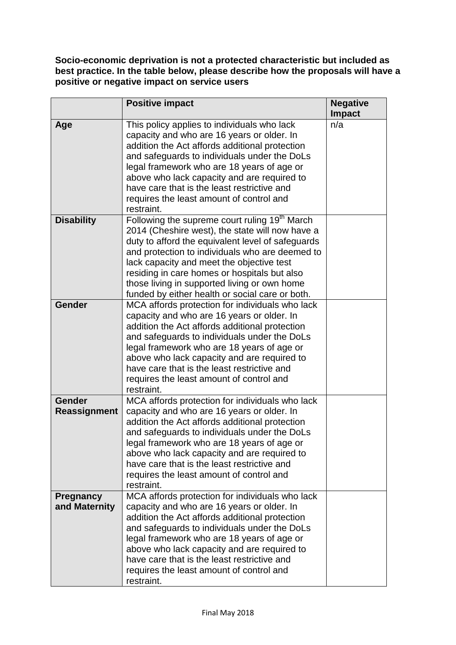**Socio-economic deprivation is not a protected characteristic but included as best practice. In the table below, please describe how the proposals will have a positive or negative impact on service users** 

|                                      | <b>Positive impact</b>                                                                                                                                                                                                                                                                                                                                                                                               | <b>Negative</b><br><b>Impact</b> |
|--------------------------------------|----------------------------------------------------------------------------------------------------------------------------------------------------------------------------------------------------------------------------------------------------------------------------------------------------------------------------------------------------------------------------------------------------------------------|----------------------------------|
| Age                                  | This policy applies to individuals who lack<br>capacity and who are 16 years or older. In<br>addition the Act affords additional protection<br>and safeguards to individuals under the DoLs<br>legal framework who are 18 years of age or<br>above who lack capacity and are required to<br>have care that is the least restrictive and<br>requires the least amount of control and<br>restraint.                    | n/a                              |
| <b>Disability</b>                    | Following the supreme court ruling 19 <sup>th</sup> March<br>2014 (Cheshire west), the state will now have a<br>duty to afford the equivalent level of safeguards<br>and protection to individuals who are deemed to<br>lack capacity and meet the objective test<br>residing in care homes or hospitals but also<br>those living in supported living or own home<br>funded by either health or social care or both. |                                  |
| <b>Gender</b>                        | MCA affords protection for individuals who lack<br>capacity and who are 16 years or older. In<br>addition the Act affords additional protection<br>and safeguards to individuals under the DoLs<br>legal framework who are 18 years of age or<br>above who lack capacity and are required to<br>have care that is the least restrictive and<br>requires the least amount of control and<br>restraint.                |                                  |
| <b>Gender</b><br><b>Reassignment</b> | MCA affords protection for individuals who lack<br>capacity and who are 16 years or older. In<br>addition the Act affords additional protection<br>and safeguards to individuals under the DoLs<br>legal framework who are 18 years of age or<br>above who lack capacity and are required to<br>have care that is the least restrictive and<br>requires the least amount of control and<br>restraint.                |                                  |
| <b>Pregnancy</b><br>and Maternity    | MCA affords protection for individuals who lack<br>capacity and who are 16 years or older. In<br>addition the Act affords additional protection<br>and safeguards to individuals under the DoLs<br>legal framework who are 18 years of age or<br>above who lack capacity and are required to<br>have care that is the least restrictive and<br>requires the least amount of control and<br>restraint.                |                                  |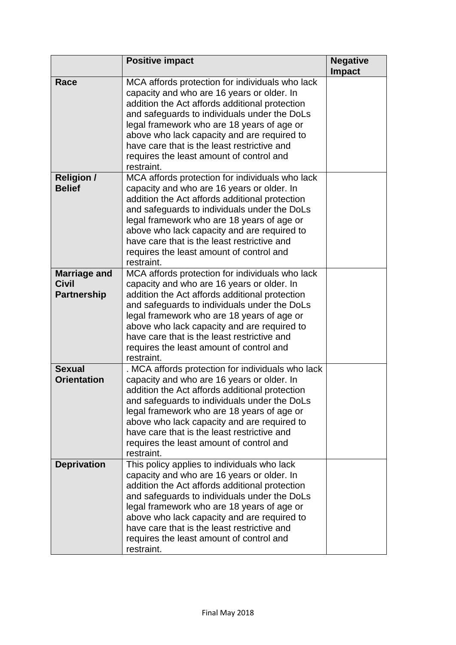|                                                           | <b>Positive impact</b>                                                                                                                                                                                                                                                                                                                                                                                  | <b>Negative</b><br><b>Impact</b> |
|-----------------------------------------------------------|---------------------------------------------------------------------------------------------------------------------------------------------------------------------------------------------------------------------------------------------------------------------------------------------------------------------------------------------------------------------------------------------------------|----------------------------------|
| Race                                                      | MCA affords protection for individuals who lack<br>capacity and who are 16 years or older. In<br>addition the Act affords additional protection<br>and safeguards to individuals under the DoLs<br>legal framework who are 18 years of age or<br>above who lack capacity and are required to<br>have care that is the least restrictive and<br>requires the least amount of control and<br>restraint.   |                                  |
| <b>Religion /</b><br><b>Belief</b>                        | MCA affords protection for individuals who lack<br>capacity and who are 16 years or older. In<br>addition the Act affords additional protection<br>and safeguards to individuals under the DoLs<br>legal framework who are 18 years of age or<br>above who lack capacity and are required to<br>have care that is the least restrictive and<br>requires the least amount of control and<br>restraint.   |                                  |
| <b>Marriage and</b><br><b>Civil</b><br><b>Partnership</b> | MCA affords protection for individuals who lack<br>capacity and who are 16 years or older. In<br>addition the Act affords additional protection<br>and safeguards to individuals under the DoLs<br>legal framework who are 18 years of age or<br>above who lack capacity and are required to<br>have care that is the least restrictive and<br>requires the least amount of control and<br>restraint.   |                                  |
| <b>Sexual</b><br><b>Orientation</b>                       | . MCA affords protection for individuals who lack<br>capacity and who are 16 years or older. In<br>addition the Act affords additional protection<br>and safeguards to individuals under the DoLs<br>legal framework who are 18 years of age or<br>above who lack capacity and are required to<br>have care that is the least restrictive and<br>requires the least amount of control and<br>restraint. |                                  |
| <b>Deprivation</b>                                        | This policy applies to individuals who lack<br>capacity and who are 16 years or older. In<br>addition the Act affords additional protection<br>and safeguards to individuals under the DoLs<br>legal framework who are 18 years of age or<br>above who lack capacity and are required to<br>have care that is the least restrictive and<br>requires the least amount of control and<br>restraint.       |                                  |